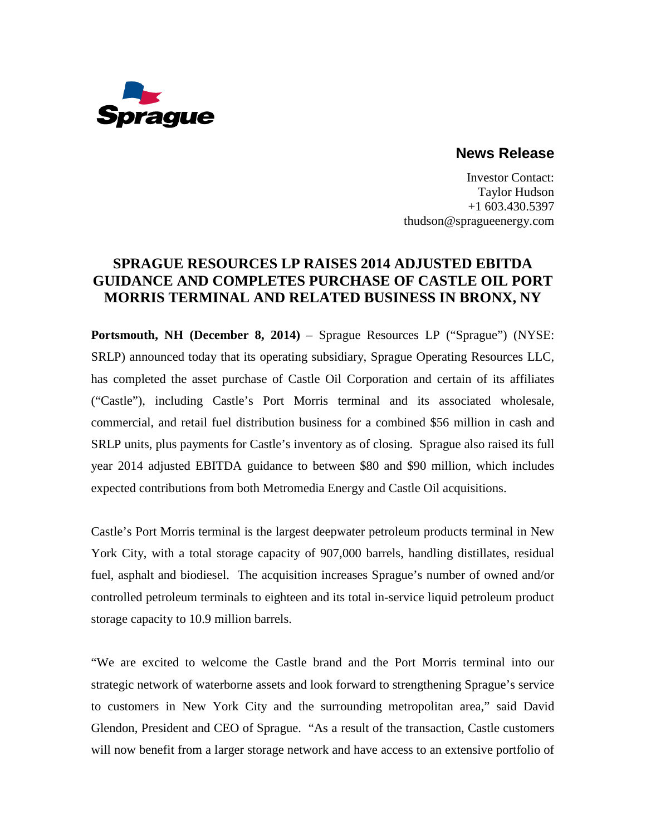

## **News Release**

Investor Contact: Taylor Hudson +1 603.430.5397 thudson@spragueenergy.com

## **SPRAGUE RESOURCES LP RAISES 2014 ADJUSTED EBITDA GUIDANCE AND COMPLETES PURCHASE OF CASTLE OIL PORT MORRIS TERMINAL AND RELATED BUSINESS IN BRONX, NY**

**Portsmouth, NH (December 8, 2014)** – Sprague Resources LP ("Sprague") (NYSE: SRLP) announced today that its operating subsidiary, Sprague Operating Resources LLC, has completed the asset purchase of Castle Oil Corporation and certain of its affiliates ("Castle"), including Castle's Port Morris terminal and its associated wholesale, commercial, and retail fuel distribution business for a combined \$56 million in cash and SRLP units, plus payments for Castle's inventory as of closing. Sprague also raised its full year 2014 adjusted EBITDA guidance to between \$80 and \$90 million, which includes expected contributions from both Metromedia Energy and Castle Oil acquisitions.

Castle's Port Morris terminal is the largest deepwater petroleum products terminal in New York City, with a total storage capacity of 907,000 barrels, handling distillates, residual fuel, asphalt and biodiesel. The acquisition increases Sprague's number of owned and/or controlled petroleum terminals to eighteen and its total in-service liquid petroleum product storage capacity to 10.9 million barrels.

"We are excited to welcome the Castle brand and the Port Morris terminal into our strategic network of waterborne assets and look forward to strengthening Sprague's service to customers in New York City and the surrounding metropolitan area," said David Glendon, President and CEO of Sprague. "As a result of the transaction, Castle customers will now benefit from a larger storage network and have access to an extensive portfolio of